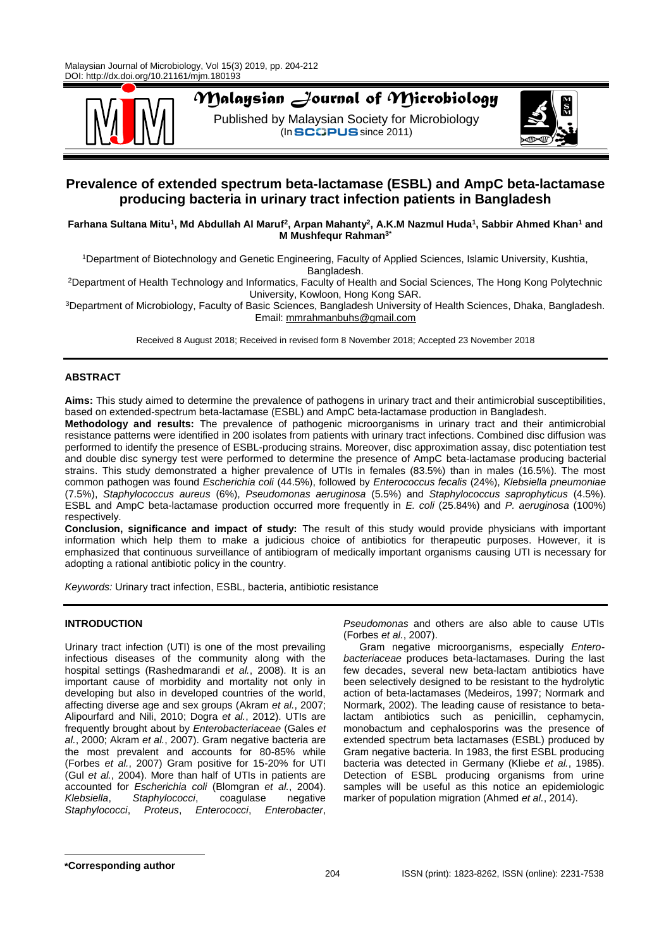

# *Malaysian Journal of Microbiology*

Published by Malaysian Society for Microbiology  $($ In SCOPUS since 2011)



## **Prevalence of extended spectrum beta-lactamase (ESBL) and AmpC beta-lactamase producing bacteria in urinary tract infection patients in Bangladesh**

## **Farhana Sultana Mitu<sup>1</sup> , Md Abdullah Al Maruf<sup>2</sup> , Arpan Mahanty<sup>2</sup> , A.K.M Nazmul Huda<sup>1</sup> , Sabbir Ahmed Khan<sup>1</sup> and M Mushfequr Rahman3\***

<sup>1</sup>Department of Biotechnology and Genetic Engineering, Faculty of Applied Sciences, Islamic University, Kushtia, Bangladesh.

<sup>2</sup>Department of Health Technology and Informatics, Faculty of Health and Social Sciences, The Hong Kong Polytechnic University, Kowloon, Hong Kong SAR.

<sup>3</sup>Department of Microbiology, Faculty of Basic Sciences, Bangladesh University of Health Sciences, Dhaka, Bangladesh. Email: [mmrahmanbuhs@gmail.com](mailto:mmrahmanbuhs@gmail.com)

Received 8 August 2018; Received in revised form 8 November 2018; Accepted 23 November 2018

## **ABSTRACT**

**Aims:** This study aimed to determine the prevalence of pathogens in urinary tract and their antimicrobial susceptibilities, based on extended-spectrum beta-lactamase (ESBL) and AmpC beta-lactamase production in Bangladesh.

**Methodology and results:** The prevalence of pathogenic microorganisms in urinary tract and their antimicrobial resistance patterns were identified in 200 isolates from patients with urinary tract infections. Combined disc diffusion was performed to identify the presence of ESBL-producing strains. Moreover, disc approximation assay, disc potentiation test and double disc synergy test were performed to determine the presence of AmpC beta-lactamase producing bacterial strains. This study demonstrated a higher prevalence of UTIs in females (83.5%) than in males (16.5%). The most common pathogen was found *Escherichia coli* (44.5%), followed by *Enterococcus fecalis* (24%), *Klebsiella pneumoniae*  (7.5%), *Staphylococcus aureus* (6%), *Pseudomonas aeruginosa* (5.5%) and *Staphylococcus saprophyticus* (4.5%). ESBL and AmpC beta-lactamase production occurred more frequently in *E. coli* (25.84%) and *P. aeruginosa* (100%) respectively.

**Conclusion, significance and impact of study:** The result of this study would provide physicians with important information which help them to make a judicious choice of antibiotics for therapeutic purposes. However, it is emphasized that continuous surveillance of antibiogram of medically important organisms causing UTI is necessary for adopting a rational antibiotic policy in the country.

*Keywords:* Urinary tract infection, ESBL, bacteria, antibiotic resistance

## **INTRODUCTION**

Urinary tract infection (UTI) is one of the most prevailing infectious diseases of the community along with the hospital settings (Rashedmarandi *et al.*, 2008). It is an important cause of morbidity and mortality not only in developing but also in developed countries of the world, affecting diverse age and sex groups (Akram *et al.*, 2007; Alipourfard and Nili, 2010; Dogra *et al.*, 2012). UTIs are frequently brought about by *Enterobacteriaceae* (Gales *et al.*, 2000; Akram *et al.*, 2007). Gram negative bacteria are the most prevalent and accounts for 80-85% while (Forbes *et al.*, 2007) Gram positive for 15-20% for UTI (Gul *et al.*, 2004). More than half of UTIs in patients are accounted for *Escherichia coli* (Blomgran *et al.*, 2004). *Klebsiella*, *Staphylococci*, coagulase negative *Staphylococci*, *Proteus*, *Enterococci*, *Enterobacter*,

*Pseudomonas* and others are also able to cause UTIs (Forbes *et al.*, 2007).

Gram negative microorganisms, especially *Enterobacteriaceae* produces beta-lactamases. During the last few decades, several new beta-lactam antibiotics have been selectively designed to be resistant to the hydrolytic action of beta-lactamases (Medeiros, 1997; Normark and Normark, 2002). The leading cause of resistance to betalactam antibiotics such as penicillin, cephamycin, monobactum and cephalosporins was the presence of extended spectrum beta lactamases (ESBL) produced by Gram negative bacteria. In 1983, the first ESBL producing bacteria was detected in Germany (Kliebe *et al.*, 1985). Detection of ESBL producing organisms from urine samples will be useful as this notice an epidemiologic marker of population migration (Ahmed *et al.*, 2014).

**\*Corresponding author**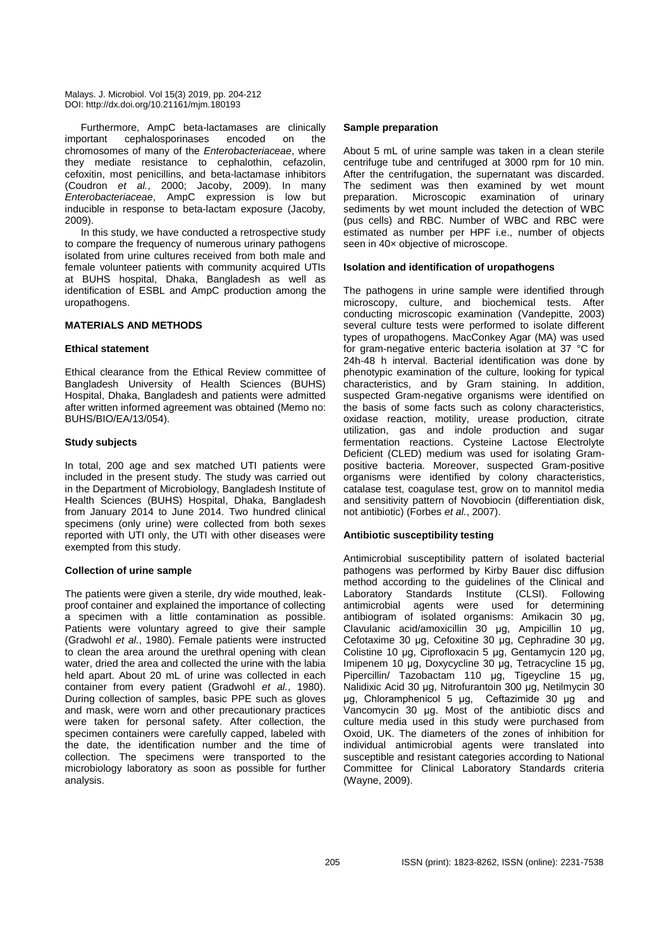Furthermore, AmpC beta-lactamases are clinically important cephalosporinases encoded on the chromosomes of many of the *Enterobacteriaceae*, where they mediate resistance to cephalothin, cefazolin, cefoxitin, most penicillins, and beta-lactamase inhibitors (Coudron *et al.*, 2000; Jacoby, 2009). In many *Enterobacteriaceae*, AmpC expression is low but inducible in response to beta-lactam exposure (Jacoby*,* 2009).

In this study, we have conducted a retrospective study to compare the frequency of numerous urinary pathogens isolated from urine cultures received from both male and female volunteer patients with community acquired UTIs at BUHS hospital, Dhaka, Bangladesh as well as identification of ESBL and AmpC production among the uropathogens.

## **MATERIALS AND METHODS**

#### **Ethical statement**

Ethical clearance from the Ethical Review committee of Bangladesh University of Health Sciences (BUHS) Hospital, Dhaka, Bangladesh and patients were admitted after written informed agreement was obtained (Memo no: BUHS/BIO/EA/13/054).

#### **Study subjects**

In total, 200 age and sex matched UTI patients were included in the present study. The study was carried out in the Department of Microbiology, Bangladesh Institute of Health Sciences (BUHS) Hospital, Dhaka, Bangladesh from January 2014 to June 2014. Two hundred clinical specimens (only urine) were collected from both sexes reported with UTI only, the UTI with other diseases were exempted from this study.

## **Collection of urine sample**

The patients were given a sterile, dry wide mouthed, leakproof container and explained the importance of collecting a specimen with a little contamination as possible. Patients were voluntary agreed to give their sample (Gradwohl *et al.*, 1980). Female patients were instructed to clean the area around the urethral opening with clean water, dried the area and collected the urine with the labia held apart. About 20 mL of urine was collected in each container from every patient (Gradwohl *et al.*, 1980). During collection of samples, basic PPE such as gloves and mask, were worn and other precautionary practices were taken for personal safety. After collection, the specimen containers were carefully capped, labeled with the date, the identification number and the time of collection. The specimens were transported to the microbiology laboratory as soon as possible for further analysis.

## **Sample preparation**

About 5 mL of urine sample was taken in a clean sterile centrifuge tube and centrifuged at 3000 rpm for 10 min. After the centrifugation, the supernatant was discarded. The sediment was then examined by wet mount preparation. Microscopic examination of urinary sediments by wet mount included the detection of WBC (pus cells) and RBC. Number of WBC and RBC were estimated as number per HPF i.e., number of objects seen in 40× objective of microscope.

#### **Isolation and identification of uropathogens**

The pathogens in urine sample were identified through microscopy, culture, and biochemical tests. After conducting microscopic examination (Vandepitte, 2003) several culture tests were performed to isolate different types of uropathogens. MacConkey Agar (MA) was used for gram-negative enteric bacteria isolation at 37 °C for 24h-48 h interval. Bacterial identification was done by phenotypic examination of the culture, looking for typical characteristics, and by Gram staining. In addition, suspected Gram-negative organisms were identified on the basis of some facts such as colony characteristics, oxidase reaction, motility, urease production, citrate utilization, gas and indole production and sugar fermentation reactions. Cysteine Lactose Electrolyte Deficient (CLED) medium was used for isolating Grampositive bacteria. Moreover, suspected Gram-positive organisms were identified by colony characteristics, catalase test, coagulase test, grow on to mannitol media and sensitivity pattern of Novobiocin (differentiation disk, not antibiotic) (Forbes *et al.*, 2007).

## **Antibiotic susceptibility testing**

Antimicrobial susceptibility pattern of isolated bacterial pathogens was performed by Kirby Bauer disc diffusion method according to the guidelines of the Clinical and Laboratory Standards Institute (CLSI). Following antimicrobial agents were used for determining antibiogram of isolated organisms: Amikacin 30 μg, Clavulanic acid/amoxicillin 30 μg, Ampicillin 10 μg, Cefotaxime 30 μg, Cefoxitine 30 μg, Cephradine 30 μg, Colistine 10 μg, Ciprofloxacin 5 μg, Gentamycin 120 μg, Imipenem 10 μg, Doxycycline 30 μg, Tetracycline 15 μg, Pipercillin/ Tazobactam 110 μg, Tigeycline 15 μg, Nalidixic Acid 30 μg, Nitrofurantoin 300 μg, Netilmycin 30 μg, Chloramphenicol 5 μg, Ceftazimide 30 μg and Vancomycin 30 μg. Most of the antibiotic discs and culture media used in this study were purchased from Oxoid, UK. The diameters of the zones of inhibition for individual antimicrobial agents were translated into susceptible and resistant categories according to National Committee for Clinical Laboratory Standards criteria (Wayne, 2009).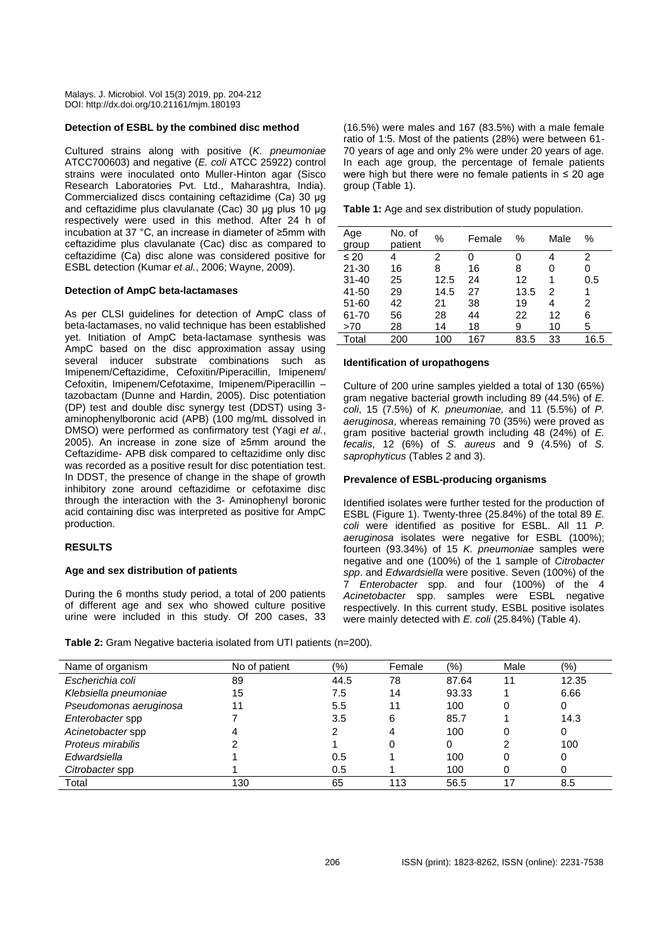#### **Detection of ESBL by the combined disc method**

Cultured strains along with positive (*K. pneumoniae* ATCC700603) and negative (*E. coli* ATCC 25922) control strains were inoculated onto Muller-Hinton agar (Sisco Research Laboratories Pvt. Ltd., Maharashtra, India). Commercialized discs containing ceftazidime (Ca) 30 μg and ceftazidime plus clavulanate (Cac) 30 μg plus 10 μg respectively were used in this method. After 24 h of incubation at 37 °C, an increase in diameter of ≥5mm with ceftazidime plus clavulanate (Cac) disc as compared to ceftazidime (Ca) disc alone was considered positive for ESBL detection (Kumar *et al.*, 2006; Wayne, 2009).

#### **Detection of AmpC beta-lactamases**

As per CLSI guidelines for detection of AmpC class of beta-lactamases, no valid technique has been established yet. Initiation of AmpC beta-lactamase synthesis was AmpC based on the disc approximation assay using several inducer substrate combinations such as Imipenem/Ceftazidime, Cefoxitin/Piperacillin, Imipenem/ Cefoxitin, Imipenem/Cefotaxime, Imipenem/Piperacillin – tazobactam (Dunne and Hardin, 2005). Disc potentiation (DP) test and double disc synergy test (DDST) using 3 aminophenylboronic acid (APB) (100 mg/mL dissolved in DMSO) were performed as confirmatory test (Yagi *et al.*, 2005). An increase in zone size of ≥5mm around the Ceftazidime- APB disk compared to ceftazidime only disc was recorded as a positive result for disc potentiation test. In DDST, the presence of change in the shape of growth inhibitory zone around ceftazidime or cefotaxime disc through the interaction with the 3- Aminophenyl boronic acid containing disc was interpreted as positive for AmpC production.

#### **RESULTS**

#### **Age and sex distribution of patients**

During the 6 months study period, a total of 200 patients of different age and sex who showed culture positive urine were included in this study. Of 200 cases, 33

(16.5%) were males and 167 (83.5%) with a male female ratio of 1:5. Most of the patients (28%) were between 61- 70 years of age and only 2% were under 20 years of age. In each age group, the percentage of female patients were high but there were no female patients in ≤ 20 age group (Table 1).

| Table 1: Age and sex distribution of study population. |
|--------------------------------------------------------|
|--------------------------------------------------------|

| Age<br>group | No. of<br>patient | %    | Female | %    | Male | %    |
|--------------|-------------------|------|--------|------|------|------|
| $\leq 20$    | 4                 | 2    | 0      |      | 4    | 2    |
| $21 - 30$    | 16                | 8    | 16     | 8    | 0    | 0    |
| $31 - 40$    | 25                | 12.5 | 24     | 12   |      | 0.5  |
| 41-50        | 29                | 14.5 | 27     | 13.5 | 2    |      |
| 51-60        | 42                | 21   | 38     | 19   | 4    | 2    |
| 61-70        | 56                | 28   | 44     | 22   | 12   | 6    |
| >70          | 28                | 14   | 18     | 9    | 10   | 5    |
| Total        | 200               | 100  | 167    | 83.5 | 33   | 16.5 |

#### **Identification of uropathogens**

Culture of 200 urine samples yielded a total of 130 (65%) gram negative bacterial growth including 89 (44.5%) of *E. coli*, 15 (7.5%) of *K. pneumoniae,* and 11 (5.5%) of *P. aeruginosa*, whereas remaining 70 (35%) were proved as gram positive bacterial growth including 48 (24%) of *E. fecalis*, 12 (6%) of *S. aureus* and 9 (4.5%) of *S. saprophyticus* (Tables 2 and 3).

#### **Prevalence of ESBL-producing organisms**

Identified isolates were further tested for the production of ESBL (Figure 1). Twenty-three (25.84%) of the total 89 *E. coli* were identified as positive for ESBL. All 11 *P. aeruginosa* isolates were negative for ESBL (100%); fourteen (93.34%) of 15 *K. pneumoniae* samples were negative and one (100%) of the 1 sample of *Citrobacter spp*. and *Edwardsiella* were positive. Seven (100%) of the 7 *Enterobacter* spp. and four (100%) of the 4 *Acinetobacter* spp. samples were ESBL negative respectively. In this current study, ESBL positive isolates were mainly detected with *E. coli* (25.84%) (Table 4).

**Table 2:** Gram Negative bacteria isolated from UTI patients (n=200).

| Name of organism       | No of patient | (%)  | Female | (9/0) | Male | (9/0) |
|------------------------|---------------|------|--------|-------|------|-------|
| Escherichia coli       | 89            | 44.5 | 78     | 87.64 |      | 12.35 |
| Klebsiella pneumoniae  | 15            | 7.5  | 14     | 93.33 |      | 6.66  |
| Pseudomonas aeruginosa | 11            | 5.5  | 11     | 100   | 0    | 0     |
| Enterobacter spp       |               | 3.5  | 6      | 85.7  |      | 14.3  |
| Acinetobacter spp      |               |      |        | 100   |      | 0     |
| Proteus mirabilis      |               |      |        | 0     |      | 100   |
| Edwardsiella           |               | 0.5  |        | 100   |      | 0     |
| Citrobacter spp        |               | 0.5  |        | 100   |      | 0     |
| Total                  | 130           | 65   | 113    | 56.5  |      | 8.5   |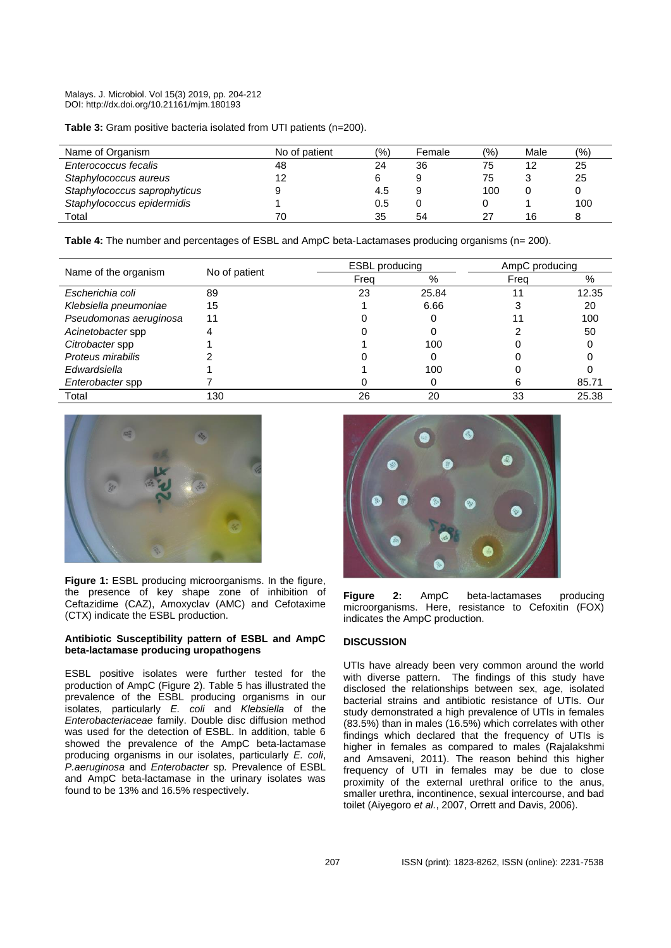**Table 3:** Gram positive bacteria isolated from UTI patients (n=200).

| Name of Organism             | No of patient | (%) | Female | (%) | Male | (%) |
|------------------------------|---------------|-----|--------|-----|------|-----|
| Enterococcus fecalis         | 48            | 24  | 36     | 75  | 12   | 25  |
| Staphylococcus aureus        | 12            |     |        | 75  |      | 25  |
| Staphylococcus saprophyticus |               | 4.5 | 9      | 100 |      |     |
| Staphylococcus epidermidis   |               | 0.5 |        |     |      | 100 |
| Total                        | 70            | 35  | 54     | 27  | 16   | 8   |

**Table 4:** The number and percentages of ESBL and AmpC beta-Lactamases producing organisms (n= 200).

| Name of the organism   | No of patient | <b>ESBL</b> producing |       | AmpC producing |       |  |  |
|------------------------|---------------|-----------------------|-------|----------------|-------|--|--|
|                        |               | Freq                  | %     | Freq           | %     |  |  |
| Escherichia coli       | 89            | 23                    | 25.84 |                | 12.35 |  |  |
| Klebsiella pneumoniae  | 15            |                       | 6.66  |                | 20    |  |  |
| Pseudomonas aeruginosa | 11            |                       |       |                | 100   |  |  |
| Acinetobacter spp      |               |                       |       |                | 50    |  |  |
| Citrobacter spp        |               |                       | 100   |                |       |  |  |
| Proteus mirabilis      |               |                       |       |                |       |  |  |
| Edwardsiella           |               |                       | 100   |                |       |  |  |
| Enterobacter spp       |               |                       |       |                | 85.71 |  |  |
| Total                  | 130           | 26                    | 20    | 33             | 25.38 |  |  |



**Figure 1:** ESBL producing microorganisms. In the figure, the presence of key shape zone of inhibition of Ceftazidime (CAZ), Amoxyclav (AMC) and Cefotaxime (CTX) indicate the ESBL production.

## **Antibiotic Susceptibility pattern of ESBL and AmpC beta-lactamase producing uropathogens**

ESBL positive isolates were further tested for the production of AmpC (Figure 2). Table 5 has illustrated the prevalence of the ESBL producing organisms in our isolates, particularly *E. coli* and *Klebsiella* of the *Enterobacteriaceae* family. Double disc diffusion method was used for the detection of ESBL. In addition, table 6 showed the prevalence of the AmpC beta-lactamase producing organisms in our isolates, particularly *E. coli*, *P.aeruginosa* and *Enterobacter* sp*.* Prevalence of ESBL and AmpC beta-lactamase in the urinary isolates was found to be 13% and 16.5% respectively.



**Figure 2:** AmpC beta-lactamases producing microorganisms. Here, resistance to Cefoxitin (FOX) indicates the AmpC production.

## **DISCUSSION**

UTIs have already been very common around the world with diverse pattern. The findings of this study have disclosed the relationships between sex, age, isolated bacterial strains and antibiotic resistance of UTIs. Our study demonstrated a high prevalence of UTIs in females (83.5%) than in males (16.5%) which correlates with other findings which declared that the frequency of UTIs is higher in females as compared to males (Rajalakshmi and Amsaveni, 2011). The reason behind this higher frequency of UTI in females may be due to close proximity of the external urethral orifice to the anus, smaller urethra, incontinence, sexual intercourse, and bad toilet (Aiyegoro *et al.*, 2007, Orrett and Davis, 2006).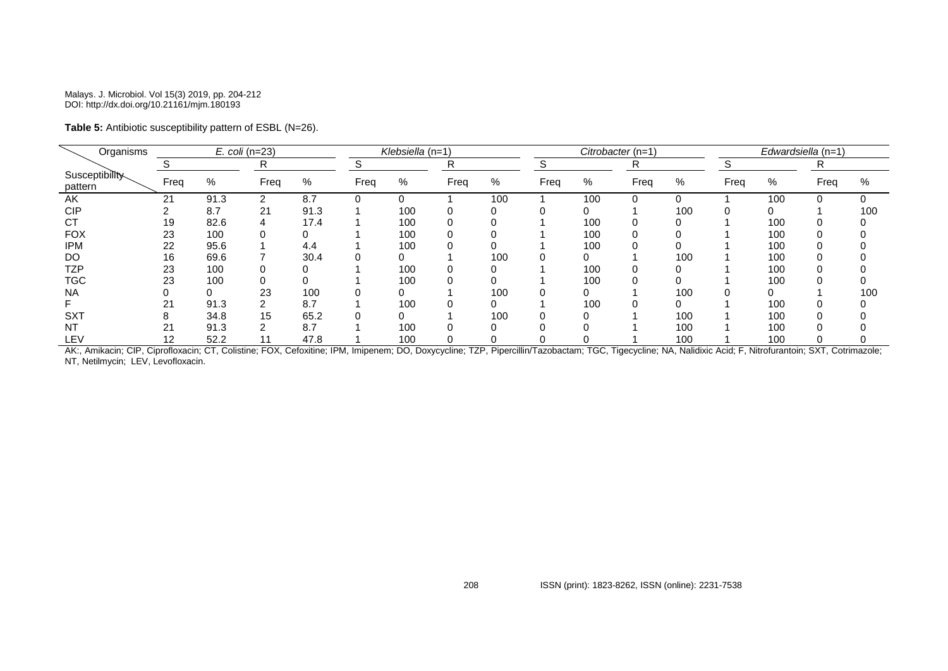## **Table 5:** Antibiotic susceptibility pattern of ESBL (N=26).

| Organisms                 | $E.$ coli (n=23) |      |      |      |      | Klebsiella (n=1) |      |     |      |     | Citrobacter (n=1) |     | Edwardsiella (n=1) |     |      |      |  |  |
|---------------------------|------------------|------|------|------|------|------------------|------|-----|------|-----|-------------------|-----|--------------------|-----|------|------|--|--|
|                           |                  |      | R    |      |      |                  | R    |     |      |     | R                 |     |                    |     | R    |      |  |  |
| Susceptibility<br>pattern | Freq             | %    | Freq | $\%$ | Freq | %                | Freq | %   | Freq | %   | Freq              | %   | Freq               | %   | Freq | $\%$ |  |  |
| AK                        | 21               | 91.3 | 2    | 8.7  |      | 0                |      | 100 |      | 100 |                   | 0   |                    | 100 |      |      |  |  |
| <b>CIP</b>                |                  | 8.7  | 21   | 91.3 |      | 100              |      |     |      |     |                   | 100 |                    |     |      | 100  |  |  |
| <b>CT</b>                 | 19               | 82.6 |      | 17.4 |      | 100              |      |     |      | 100 |                   |     |                    | 100 |      |      |  |  |
| <b>FOX</b>                | 23               | 100  |      | 0    |      | 100              |      |     |      | 100 |                   |     |                    | 100 |      |      |  |  |
| <b>IPM</b>                | 22               | 95.6 |      | 4.4  |      | 100              |      |     |      | 100 |                   |     |                    | 100 |      |      |  |  |
| DO                        | 16               | 69.6 |      | 30.4 |      |                  |      | 100 |      |     |                   | 100 |                    | 100 |      |      |  |  |
| TZP                       | 23               | 100  |      |      |      | 100              |      |     |      | 100 |                   |     |                    | 100 |      |      |  |  |
| <b>TGC</b>                | 23               | 100  |      |      |      | 100              |      |     |      | 100 |                   |     |                    | 100 |      |      |  |  |
| <b>NA</b>                 |                  |      | 23   | 100  |      |                  |      | 100 |      |     |                   | 100 |                    |     |      | 100  |  |  |
|                           | 21               | 91.3 |      | 8.7  |      | 100              |      |     |      | 100 |                   | 0   |                    | 100 |      |      |  |  |
| <b>SXT</b>                |                  | 34.8 | 15   | 65.2 |      |                  |      | 100 |      |     |                   | 100 |                    | 100 |      |      |  |  |
| <b>NT</b>                 |                  | 91.3 | ◠    | 8.7  |      | 100              |      |     |      |     |                   | 100 |                    | 100 |      |      |  |  |
| LEV                       | 12               | 52.2 | 11   | 47.8 |      | 100              |      |     |      |     |                   | 100 |                    | 100 |      |      |  |  |

AK:, Amikacin; CIP, Ciprofloxacin; CT, Colistine; FOX, Cefoxitine; IPM, Imipenem; DO, Doxycycline; TZP, Pipercillin/Tazobactam; TGC, Tigecycline; NA, Nalidixic Acid; F, Nitrofurantoin; SXT, Cotrimazole; NT, Netilmycin; LEV, Levofloxacin.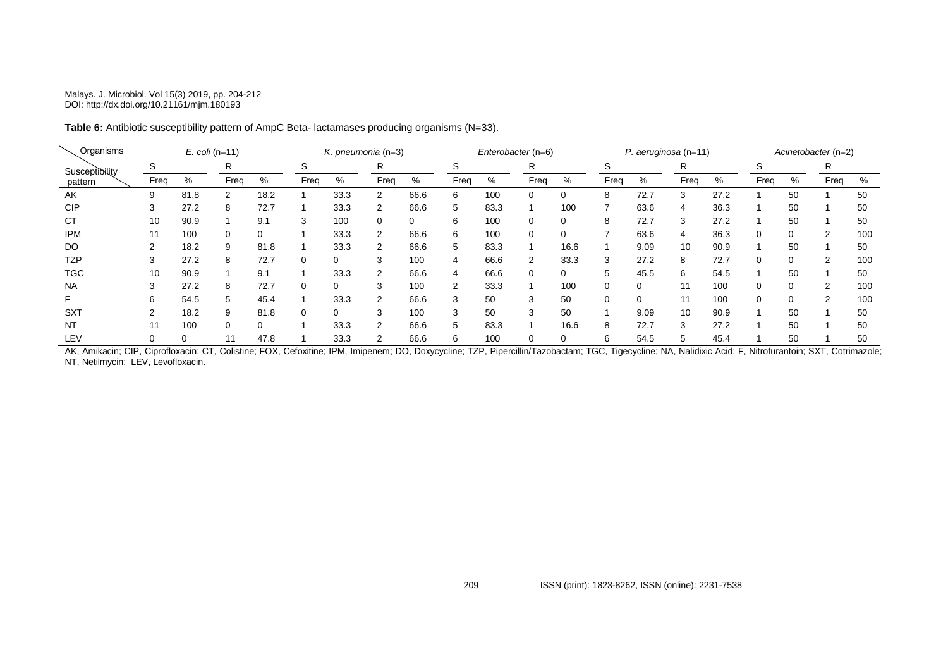| Organisms      | $E.$ coli (n=11) |      |          |      |      | K. pneumonia $(n=3)$ |              |          |      | Enterobacter (n=6) |      |      |      | $P.$ aeruginosa (n=11) |      |      |          | Acinetobacter (n=2) |      |     |  |
|----------------|------------------|------|----------|------|------|----------------------|--------------|----------|------|--------------------|------|------|------|------------------------|------|------|----------|---------------------|------|-----|--|
| Susceptibility | S                |      | R        |      | S    |                      | R            |          | S    |                    | R    |      | S    |                        | R    |      | ১        |                     | R    |     |  |
| pattern        | Freq             | %    | Freq     | %    | Freq | %                    | Freq         | %        | Freq | %                  | Freq | %    | Freq | %                      | Freq | %    | Freq     | %                   | Freq | %   |  |
| AK             | 9                | 81.8 | 2        | 18.2 |      | 33.3                 | 2            | 66.6     | 6    | 100                | 0    | 0    | 8    | 72.7                   |      | 27.2 |          | 50                  |      | 50  |  |
| <b>CIP</b>     | 3                | 27.2 | 8        | 72.7 |      | 33.3                 | 2            | 66.6     | 5    | 83.3               |      | 100  |      | 63.6                   | 4    | 36.3 |          | 50                  |      | 50  |  |
| <b>CT</b>      | 10               | 90.9 |          | 9.1  | 3    | 100                  |              | $\Omega$ | 6    | 100                | 0    | 0    | 8    | 72.7                   |      | 27.2 |          | 50                  |      | 50  |  |
| <b>IPM</b>     | 11               | 100  | 0        | 0    |      | 33.3                 | 2            | 66.6     | 6    | 100                | 0    | 0    |      | 63.6                   |      | 36.3 | 0        |                     | 2    | 100 |  |
| DO             |                  | 18.2 | 9        | 81.8 |      | 33.3                 | 2            | 66.6     | 5    | 83.3               |      | 16.6 |      | 9.09                   | 10   | 90.9 |          | 50                  |      | 50  |  |
| <b>TZP</b>     | 3                | 27.2 | 8        | 72.7 | 0    | 0                    | 3            | 100      | 4    | 66.6               | 2    | 33.3 | 3    | 27.2                   |      | 72.7 | 0        |                     | 2    | 100 |  |
| <b>TGC</b>     | 10               | 90.9 |          | 9.1  |      | 33.3                 | 2            | 66.6     | 4    | 66.6               | 0    | 0    | 5    | 45.5                   | 6    | 54.5 |          | 50                  |      | 50  |  |
| <b>NA</b>      |                  | 27.2 | 8        | 72.7 | 0    | $\mathbf 0$          | $\sim$<br>-5 | 100      | 2    | 33.3               |      | 100  | 0    |                        |      | 100  |          |                     | 2    | 100 |  |
| F              | 6                | 54.5 | 5        | 45.4 |      | 33.3                 | 2            | 66.6     | 3    | 50                 | 3    | 50   | 0    |                        |      | 100  | $\Omega$ |                     | 2    | 100 |  |
| <b>SXT</b>     |                  | 18.2 |          | 81.8 | 0    | $\Omega$             | 3            | 100      | 3    | 50                 | 3    | 50   |      | 9.09                   | 10   | 90.9 |          | 50                  |      | 50  |  |
| NT             |                  | 100  | $\Omega$ | 0    |      | 33.3                 | 2            | 66.6     | 5    | 83.3               |      | 16.6 | 8    | 72.7                   |      | 27.2 |          | 50                  |      | 50  |  |
| LEV            |                  |      |          | 47.8 |      | 33.3                 |              | 66.6     | 6    | 100                |      | 0    | 6    | 54.5                   |      | 45.4 |          | 50                  |      | 50  |  |

**Table 6:** Antibiotic susceptibility pattern of AmpC Beta- lactamases producing organisms (N=33).

AK, Amikacin; CIP, Ciprofloxacin; CT, Colistine; FOX, Cefoxitine; IPM, Imipenem; DO, Doxycycline; TZP, Pipercillin/Tazobactam; TGC, Tigecycline; NA, Nalidixic Acid; F, Nitrofurantoin; SXT, Cotrimazole; NT, Netilmycin; LEV, Levofloxacin.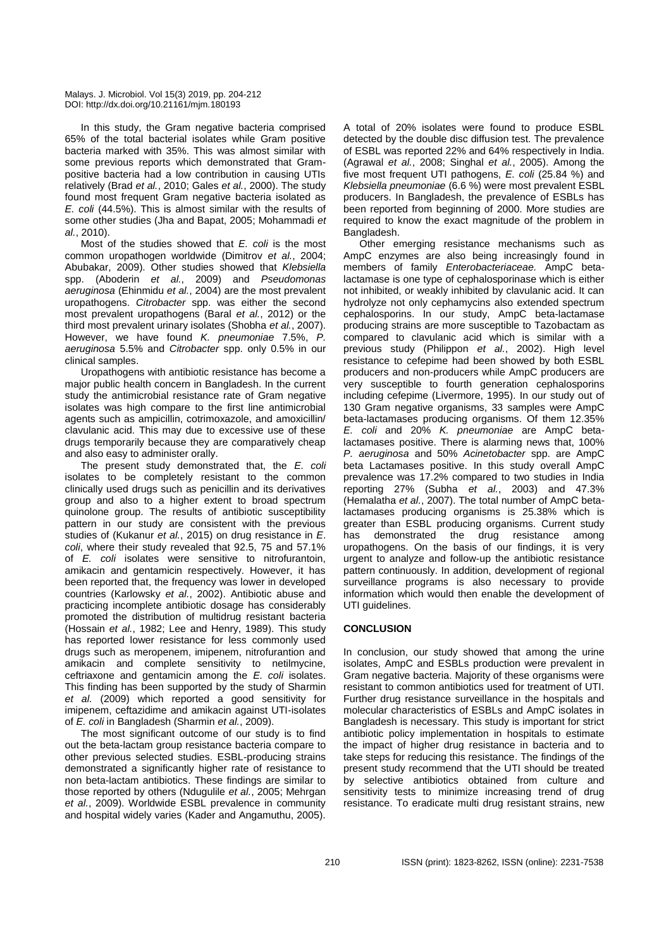In this study, the Gram negative bacteria comprised 65% of the total bacterial isolates while Gram positive bacteria marked with 35%. This was almost similar with some previous reports which demonstrated that Grampositive bacteria had a low contribution in causing UTIs relatively (Brad *et al.*, 2010; Gales *et al.*, 2000). The study found most frequent Gram negative bacteria isolated as *E. coli* (44.5%). This is almost similar with the results of some other studies (Jha and Bapat, 2005; Mohammadi *et al.*, 2010).

Most of the studies showed that *E. coli* is the most common uropathogen worldwide (Dimitrov *et al.*, 2004; Abubakar, 2009). Other studies showed that *Klebsiella*  spp. (Aboderin *et al.*, 2009) and *Pseudomonas aeruginosa* (Ehinmidu *et al.*, 2004) are the most prevalent uropathogens. *Citrobacter* spp. was either the second most prevalent uropathogens (Baral *et al.*, 2012) or the third most prevalent urinary isolates (Shobha *et al.*, 2007). However, we have found *K. pneumoniae* 7.5%, *P. aeruginosa* 5.5% and *Citrobacter* spp. only 0.5% in our clinical samples.

Uropathogens with antibiotic resistance has become a major public health concern in Bangladesh. In the current study the antimicrobial resistance rate of Gram negative isolates was high compare to the first line antimicrobial agents such as ampicillin, cotrimoxazole, and amoxicillin/ clavulanic acid. This may due to excessive use of these drugs temporarily because they are comparatively cheap and also easy to administer orally.

The present study demonstrated that, the *E. coli*  isolates to be completely resistant to the common clinically used drugs such as penicillin and its derivatives group and also to a higher extent to broad spectrum quinolone group. The results of antibiotic susceptibility pattern in our study are consistent with the previous studies of (Kukanur *et al.*, 2015) on drug resistance in *E*. *coli*, where their study revealed that 92.5, 75 and 57.1% of *E. coli* isolates were sensitive to nitrofurantoin, amikacin and gentamicin respectively. However, it has been reported that, the frequency was lower in developed countries (Karlowsky *et al.*, 2002). Antibiotic abuse and practicing incomplete antibiotic dosage has considerably promoted the distribution of multidrug resistant bacteria (Hossain *et al.*, 1982; Lee and Henry, 1989). This study has reported lower resistance for less commonly used drugs such as meropenem, imipenem, nitrofurantion and amikacin and complete sensitivity to netilmycine, ceftriaxone and gentamicin among the *E. coli* isolates. This finding has been supported by the study of Sharmin *et al.* (2009) which reported a good sensitivity for imipenem, ceftazidime and amikacin against UTI-isolates of *E. coli* in Bangladesh (Sharmin *et al.*, 2009).

The most significant outcome of our study is to find out the beta-lactam group resistance bacteria compare to other previous selected studies. ESBL-producing strains demonstrated a significantly higher rate of resistance to non beta-lactam antibiotics. These findings are similar to those reported by others (Ndugulile *et al.*, 2005; Mehrgan *et al.*, 2009). Worldwide ESBL prevalence in community and hospital widely varies (Kader and Angamuthu, 2005).

A total of 20% isolates were found to produce ESBL detected by the double disc diffusion test. The prevalence of ESBL was reported 22% and 64% respectively in India. (Agrawal *et al.*, 2008; Singhal *et al.*, 2005). Among the five most frequent UTI pathogens, *E. coli* (25.84 %) and *Klebsiella pneumoniae* (6.6 %) were most prevalent ESBL producers. In Bangladesh, the prevalence of ESBLs has been reported from beginning of 2000. More studies are required to know the exact magnitude of the problem in Bangladesh.

Other emerging resistance mechanisms such as AmpC enzymes are also being increasingly found in members of family *Enterobacteriaceae.* AmpC betalactamase is one type of cephalosporinase which is either not inhibited, or weakly inhibited by clavulanic acid. It can hydrolyze not only cephamycins also extended spectrum cephalosporins. In our study, AmpC beta-lactamase producing strains are more susceptible to Tazobactam as compared to clavulanic acid which is similar with a previous study (Philippon *et al.*, 2002). High level resistance to cefepime had been showed by both ESBL producers and non-producers while AmpC producers are very susceptible to fourth generation cephalosporins including cefepime (Livermore, 1995). In our study out of 130 Gram negative organisms, 33 samples were AmpC beta-lactamases producing organisms. Of them 12.35% *E. coli* and 20% *K. pneumoniae* are AmpC betalactamases positive. There is alarming news that, 100% *P. aeruginosa* and 50% *Acinetobacter* spp. are AmpC beta Lactamases positive. In this study overall AmpC prevalence was 17.2% compared to two studies in India reporting 27% (Subha *et al.*, 2003) and 47.3% (Hemalatha *et al.*, 2007). The total number of AmpC betalactamases producing organisms is 25.38% which is greater than ESBL producing organisms. Current study has demonstrated the drug resistance among uropathogens. On the basis of our findings, it is very urgent to analyze and follow-up the antibiotic resistance pattern continuously. In addition, development of regional surveillance programs is also necessary to provide information which would then enable the development of UTI guidelines.

## **CONCLUSION**

In conclusion, our study showed that among the urine isolates, AmpC and ESBLs production were prevalent in Gram negative bacteria. Majority of these organisms were resistant to common antibiotics used for treatment of UTI. Further drug resistance surveillance in the hospitals and molecular characteristics of ESBLs and AmpC isolates in Bangladesh is necessary. This study is important for strict antibiotic policy implementation in hospitals to estimate the impact of higher drug resistance in bacteria and to take steps for reducing this resistance. The findings of the present study recommend that the UTI should be treated by selective antibiotics obtained from culture and sensitivity tests to minimize increasing trend of drug resistance. To eradicate multi drug resistant strains, new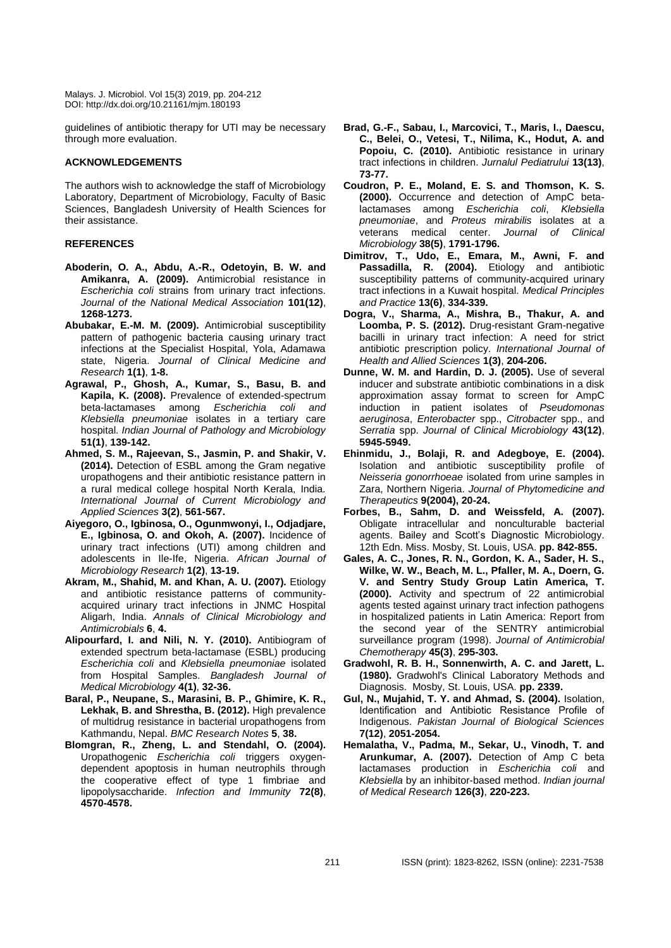guidelines of antibiotic therapy for UTI may be necessary through more evaluation.

## **ACKNOWLEDGEMENTS**

The authors wish to acknowledge the staff of Microbiology Laboratory, Department of Microbiology, Faculty of Basic Sciences, Bangladesh University of Health Sciences for their assistance.

## **REFERENCES**

- **Aboderin, O. A., Abdu, A.-R., Odetoyin, B. W. and Amikanra, A. (2009).** Antimicrobial resistance in *Escherichia coli* strains from urinary tract infections. *Journal of the National Medical Association* **101(12)**, **1268-1273.**
- **Abubakar, E.-M. M. (2009).** Antimicrobial susceptibility pattern of pathogenic bacteria causing urinary tract infections at the Specialist Hospital, Yola, Adamawa state, Nigeria. *Journal of Clinical Medicine and Research* **1(1)**, **1-8.**
- **Agrawal, P., Ghosh, A., Kumar, S., Basu, B. and Kapila, K. (2008).** Prevalence of extended-spectrum beta-lactamases among *Escherichia coli and Klebsiella pneumoniae* isolates in a tertiary care hospital. *Indian Journal of Pathology and Microbiology* **51(1)**, **139-142.**
- **Ahmed, S. M., Rajeevan, S., Jasmin, P. and Shakir, V. (2014).** Detection of ESBL among the Gram negative uropathogens and their antibiotic resistance pattern in a rural medical college hospital North Kerala, India. *International Journal of Current Microbiology and Applied Sciences* **3(2)**, **561-567.**
- **Aiyegoro, O., Igbinosa, O., Ogunmwonyi, I., Odjadjare, E., Igbinosa, O. and Okoh, A. (2007).** Incidence of urinary tract infections (UTI) among children and adolescents in Ile-Ife, Nigeria. *African Journal of Microbiology Research* **1(2)**, **13-19.**
- **Akram, M., Shahid, M. and Khan, A. U. (2007).** Etiology and antibiotic resistance patterns of communityacquired urinary tract infections in JNMC Hospital Aligarh, India. *Annals of Clinical Microbiology and Antimicrobials* **6**, **4.**
- **Alipourfard, I. and Nili, N. Y. (2010).** Antibiogram of extended spectrum beta-lactamase (ESBL) producing *Escherichia coli* and *Klebsiella pneumoniae* isolated from Hospital Samples. *Bangladesh Journal of Medical Microbiology* **4(1)**, **32-36.**
- **Baral, P., Neupane, S., Marasini, B. P., Ghimire, K. R., Lekhak, B. and Shrestha, B. (2012).** High prevalence of multidrug resistance in bacterial uropathogens from Kathmandu, Nepal. *BMC Research Notes* **5**, **38.**
- **Blomgran, R., Zheng, L. and Stendahl, O. (2004).** Uropathogenic *Escherichia coli* triggers oxygendependent apoptosis in human neutrophils through the cooperative effect of type 1 fimbriae and lipopolysaccharide. *Infection and Immunity* **72(8)**, **4570-4578.**
- **Brad, G.-F., Sabau, I., Marcovici, T., Maris, I., Daescu, C., Belei, O., Vetesi, T., Nilima, K., Hodut, A. and Popoiu, C. (2010).** Antibiotic resistance in urinary tract infections in children. *Jurnalul Pediatrului* **13(13)**, **73-77.**
- **Coudron, P. E., Moland, E. S. and Thomson, K. S. (2000).** Occurrence and detection of AmpC betalactamases among *Escherichia coli*, *Klebsiella pneumoniae*, and *Proteus mirabilis* isolates at a veterans medical center. *Journal of Clinical Microbiology* **38(5)**, **1791-1796.**
- **Dimitrov, T., Udo, E., Emara, M., Awni, F. and Passadilla, R. (2004).** Etiology and antibiotic susceptibility patterns of community-acquired urinary tract infections in a Kuwait hospital. *Medical Principles and Practice* **13(6)**, **334-339.**
- **Dogra, V., Sharma, A., Mishra, B., Thakur, A. and Loomba, P. S. (2012).** Drug-resistant Gram-negative bacilli in urinary tract infection: A need for strict antibiotic prescription policy. *International Journal of Health and Allied Sciences* **1(3)**, **204-206.**
- **Dunne, W. M. and Hardin, D. J. (2005).** Use of several inducer and substrate antibiotic combinations in a disk approximation assay format to screen for AmpC induction in patient isolates of *Pseudomonas aeruginosa*, *Enterobacter* spp., *Citrobacter* spp., and *Serratia* spp. *Journal of Clinical Microbiology* **43(12)**, **5945-5949.**
- **Ehinmidu, J., Bolaji, R. and Adegboye, E. (2004).** Isolation and antibiotic susceptibility profile of *Neisseria gonorrhoeae* isolated from urine samples in Zara, Northern Nigeria. *Journal of Phytomedicine and Therapeutics* **9(2004), 20-24.**
- **Forbes, B., Sahm, D. and Weissfeld, A. (2007).** Obligate intracellular and nonculturable bacterial agents. Bailey and Scott's Diagnostic Microbiology. 12th Edn. Miss. Mosby, St. Louis, USA. **pp. 842-855.**
- **Gales, A. C., Jones, R. N., Gordon, K. A., Sader, H. S., Wilke, W. W., Beach, M. L., Pfaller, M. A., Doern, G. V. and Sentry Study Group Latin America, T. (2000).** Activity and spectrum of 22 antimicrobial agents tested against urinary tract infection pathogens in hospitalized patients in Latin America: Report from the second year of the SENTRY antimicrobial surveillance program (1998). *Journal of Antimicrobial Chemotherapy* **45(3)**, **295-303.**
- **Gradwohl, R. B. H., Sonnenwirth, A. C. and Jarett, L. (1980).** Gradwohl's Clinical Laboratory Methods and Diagnosis. Mosby, St. Louis, USA. **pp. 2339.**
- **Gul, N., Mujahid, T. Y. and Ahmad, S. (2004).** Isolation, Identification and Antibiotic Resistance Profile of Indigenous. *Pakistan Journal of Biological Sciences* **7(12)**, **2051-2054.**
- **Hemalatha, V., Padma, M., Sekar, U., Vinodh, T. and Arunkumar, A. (2007).** Detection of Amp C beta lactamases production in *Escherichia coli* and *Klebsiella* by an inhibitor-based method. *Indian journal of Medical Research* **126(3)**, **220-223.**